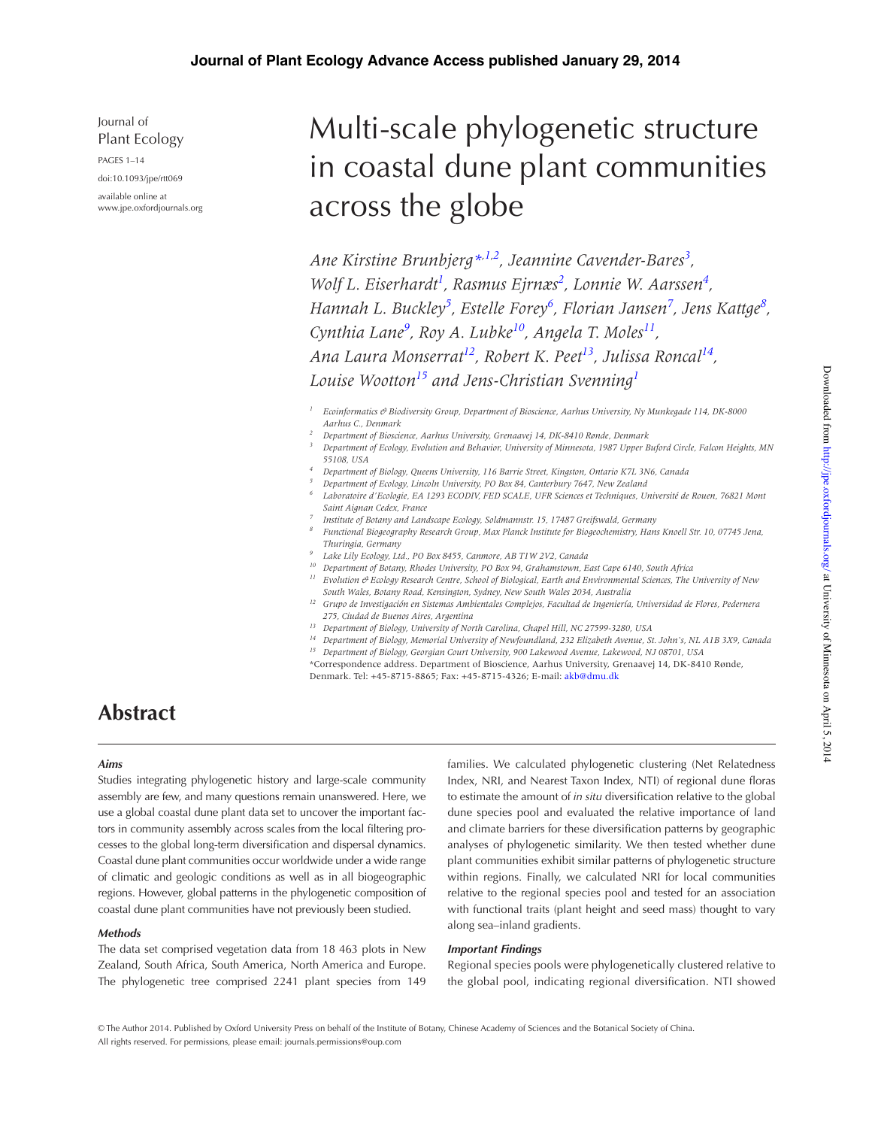Journal of Plant Ecology

PAGES 1–14

doi:10.1093/jpe/rtt069 available online at www.jpe.oxfordjournals.org

# Multi-scale phylogenetic structure in coastal dune plant communities across the globe

*Ane Kirstine Brunbjerg\*,1,2 , Jeannine Cavender-Bares3 , Wolf L. Eiserhardt<sup>1</sup>, Rasmus Ejrnæs<sup>2</sup>, Lonnie W. Aarssen<sup>4</sup>, Hannah L. Buckley<sup>5</sup> , Estelle Forey6 , Florian Jansen7 , Jens Kattge8 , Cynthia Lane<sup>9</sup> , Roy A. Lubke10, Angela T. Moles11, Ana Laura Monserrat12, Robert K. Peet13, Julissa Roncal14, Louise Wootton15 and Jens-Christian Svenning1*

*<sup>1</sup> Ecoinformatics & Biodiversity Group, Department of Bioscience, Aarhus University, Ny Munkegade 114, DK-8000 Aarhus C., Denmark*

*<sup>2</sup> Department of Bioscience, Aarhus University, Grenaavej 14, DK-8410 Rønde, Denmark*

*<sup>3</sup> Department of Ecology, Evolution and Behavior, University of Minnesota, 1987 Upper Buford Circle, Falcon Heights, MN 55108, USA*

- *<sup>4</sup> Department of Biology, Queens University, 116 Barrie Street, Kingston, Ontario K7L 3N6, Canada*
- *<sup>5</sup> Department of Ecology, Lincoln University, PO Box 84, Canterbury 7647, New Zealand*
- *<sup>6</sup> Laboratoire d'Ecologie, EA 1293 ECODIV, FED SCALE, UFR Sciences et Techniques, Université de Rouen, 76821 Mont Saint Aignan Cedex, France*
- *<sup>7</sup> Institute of Botany and Landscape Ecology, Soldmannstr. 15, 17487 Greifswald, Germany*
- *<sup>8</sup> Functional Biogeography Research Group, Max Planck Institute for Biogeochemistry, Hans Knoell Str. 10, 07745 Jena, Thuringia, Germany*
- *<sup>9</sup> Lake Lily Ecology, Ltd., PO Box 8455, Canmore, AB T1W 2V2, Canada*
- *<sup>10</sup> Department of Botany, Rhodes University, PO Box 94, Grahamstown, East Cape 6140, South Africa*
	- *11 Evolution & Ecology Research Centre, School of Biological, Earth and Environmental Sciences, The University of New South Wales, Botany Road, Kensington, Sydney, New South Wales 2034, Australia*
- *<sup>12</sup> Grupo de Investigación en Sistemas Ambientales Complejos, Facultad de Ingeniería, Universidad de Flores, Pedernera 275, Ciudad de Buenos Aires, Argentina*
- *<sup>13</sup> Department of Biology, University of North Carolina, Chapel Hill, NC 27599-3280, USA*
- *<sup>14</sup> Department of Biology, Memorial University of Newfoundland, 232 Elizabeth Avenue, St. John's, NL A1B 3X9, Canada*
- *<sup>15</sup> Department of Biology, Georgian Court University, 900 Lakewood Avenue, Lakewood, NJ 08701, USA*
- \*Correspondence address. Department of Bioscience, Aarhus University, Grenaavej 14, DK-8410 Rønde, Denmark. Tel: +45-8715-8865; Fax: +45-8715-4326; E-mail: akb@dmu.dk

# **Abstract**

#### *Aims*

Studies integrating phylogenetic history and large-scale community assembly are few, and many questions remain unanswered. Here, we use a global coastal dune plant data set to uncover the important factors in community assembly across scales from the local filtering processes to the global long-term diversification and dispersal dynamics. Coastal dune plant communities occur worldwide under a wide range of climatic and geologic conditions as well as in all biogeographic regions. However, global patterns in the phylogenetic composition of coastal dune plant communities have not previously been studied.

#### *Methods*

The data set comprised vegetation data from 18 463 plots in New Zealand, South Africa, South America, North America and Europe. The phylogenetic tree comprised 2241 plant species from 149 families. We calculated phylogenetic clustering (Net Relatedness Index, NRI, and Nearest Taxon Index, NTI) of regional dune floras to estimate the amount of *in situ* diversification relative to the global dune species pool and evaluated the relative importance of land and climate barriers for these diversification patterns by geographic analyses of phylogenetic similarity. We then tested whether dune plant communities exhibit similar patterns of phylogenetic structure within regions. Finally, we calculated NRI for local communities relative to the regional species pool and tested for an association with functional traits (plant height and seed mass) thought to vary along sea–inland gradients.

#### *Important Findings*

Regional species pools were phylogenetically clustered relative to the global pool, indicating regional diversification. NTI showed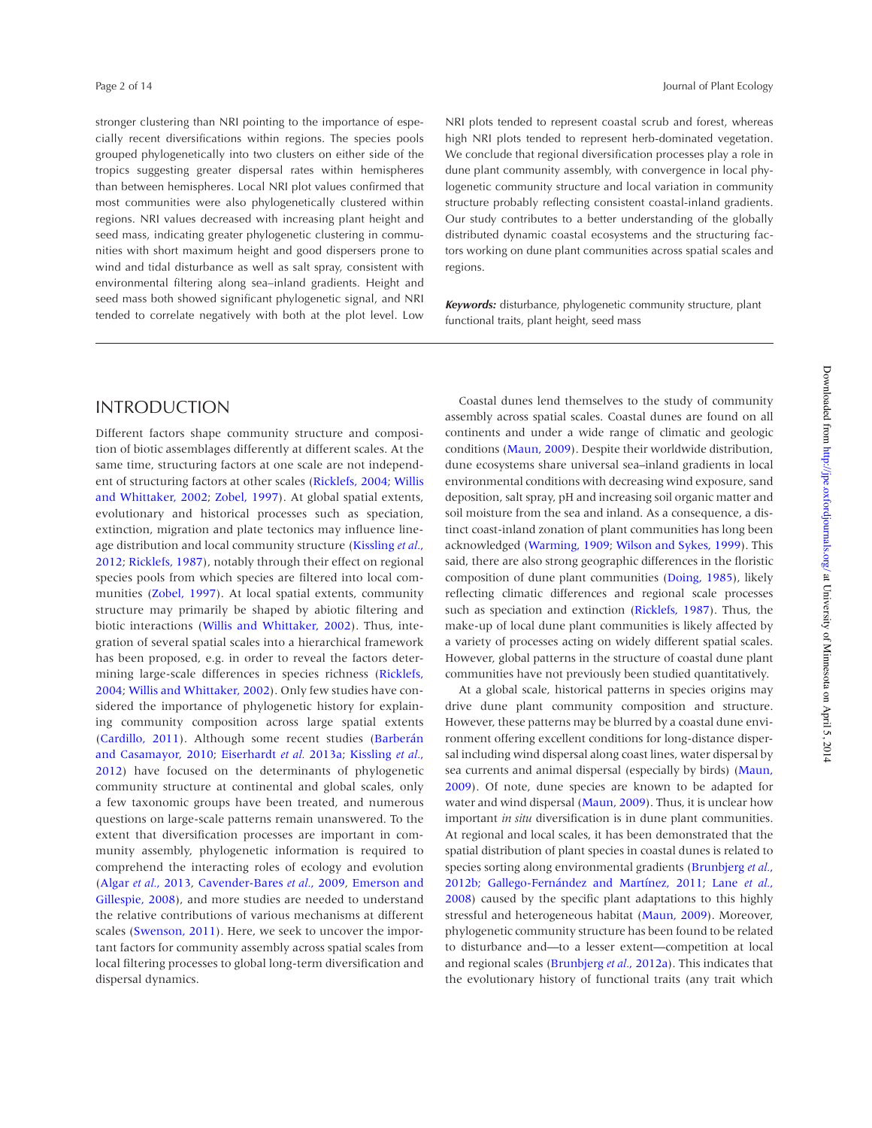stronger clustering than NRI pointing to the importance of especially recent diversifications within regions. The species pools grouped phylogenetically into two clusters on either side of the tropics suggesting greater dispersal rates within hemispheres than between hemispheres. Local NRI plot values confirmed that most communities were also phylogenetically clustered within regions. NRI values decreased with increasing plant height and seed mass, indicating greater phylogenetic clustering in communities with short maximum height and good dispersers prone to wind and tidal disturbance as well as salt spray, consistent with environmental filtering along sea–inland gradients. Height and seed mass both showed significant phylogenetic signal, and NRI tended to correlate negatively with both at the plot level. Low

NRI plots tended to represent coastal scrub and forest, whereas high NRI plots tended to represent herb-dominated vegetation. We conclude that regional diversification processes play a role in dune plant community assembly, with convergence in local phylogenetic community structure and local variation in community structure probably reflecting consistent coastal-inland gradients. Our study contributes to a better understanding of the globally distributed dynamic coastal ecosystems and the structuring factors working on dune plant communities across spatial scales and regions.

*Keywords:* disturbance, phylogenetic community structure, plant functional traits, plant height, seed mass

# INTRODUCTION

Different factors shape community structure and composition of biotic assemblages differently at different scales. At the same time, structuring factors at one scale are not independent of structuring factors at other scales (Ricklefs, 2004; Willis and Whittaker, 2002; Zobel, 1997). At global spatial extents, evolutionary and historical processes such as speciation, extinction, migration and plate tectonics may influence lineage distribution and local community structure (Kissling *et al.*, 2012; Ricklefs, 1987), notably through their effect on regional species pools from which species are filtered into local communities (Zobel, 1997). At local spatial extents, community structure may primarily be shaped by abiotic filtering and biotic interactions (Willis and Whittaker, 2002). Thus, integration of several spatial scales into a hierarchical framework has been proposed, e.g. in order to reveal the factors determining large-scale differences in species richness (Ricklefs, 2004; Willis and Whittaker, 2002). Only few studies have considered the importance of phylogenetic history for explaining community composition across large spatial extents (Cardillo, 2011). Although some recent studies (Barberán and Casamayor, 2010; Eiserhardt *et al.* 2013a; Kissling *et al.*, 2012) have focused on the determinants of phylogenetic community structure at continental and global scales, only a few taxonomic groups have been treated, and numerous questions on large-scale patterns remain unanswered. To the extent that diversification processes are important in community assembly, phylogenetic information is required to comprehend the interacting roles of ecology and evolution (Algar *et al.*, 2013, Cavender-Bares *et al.*, 2009, Emerson and Gillespie, 2008), and more studies are needed to understand the relative contributions of various mechanisms at different scales (Swenson, 2011). Here, we seek to uncover the important factors for community assembly across spatial scales from local filtering processes to global long-term diversification and dispersal dynamics.

Coastal dunes lend themselves to the study of community assembly across spatial scales. Coastal dunes are found on all continents and under a wide range of climatic and geologic conditions (Maun, 2009). Despite their worldwide distribution, dune ecosystems share universal sea–inland gradients in local environmental conditions with decreasing wind exposure, sand deposition, salt spray, pH and increasing soil organic matter and soil moisture from the sea and inland. As a consequence, a distinct coast-inland zonation of plant communities has long been acknowledged (Warming, 1909; Wilson and Sykes, 1999). This said, there are also strong geographic differences in the floristic composition of dune plant communities (Doing, 1985), likely reflecting climatic differences and regional scale processes such as speciation and extinction (Ricklefs, 1987). Thus, the make-up of local dune plant communities is likely affected by a variety of processes acting on widely different spatial scales. However, global patterns in the structure of coastal dune plant communities have not previously been studied quantitatively.

At a global scale, historical patterns in species origins may drive dune plant community composition and structure. However, these patterns may be blurred by a coastal dune environment offering excellent conditions for long-distance dispersal including wind dispersal along coast lines, water dispersal by sea currents and animal dispersal (especially by birds) (Maun, 2009). Of note, dune species are known to be adapted for water and wind dispersal (Maun, 2009). Thus, it is unclear how important *in situ* diversification is in dune plant communities. At regional and local scales, it has been demonstrated that the spatial distribution of plant species in coastal dunes is related to species sorting along environmental gradients (Brunbjerg *et al.*, 2012b; Gallego-Fernández and Martínez, 2011; Lane *et al.*, 2008) caused by the specific plant adaptations to this highly stressful and heterogeneous habitat (Maun, 2009). Moreover, phylogenetic community structure has been found to be related to disturbance and—to a lesser extent—competition at local and regional scales (Brunbjerg *et al.*, 2012a). This indicates that the evolutionary history of functional traits (any trait which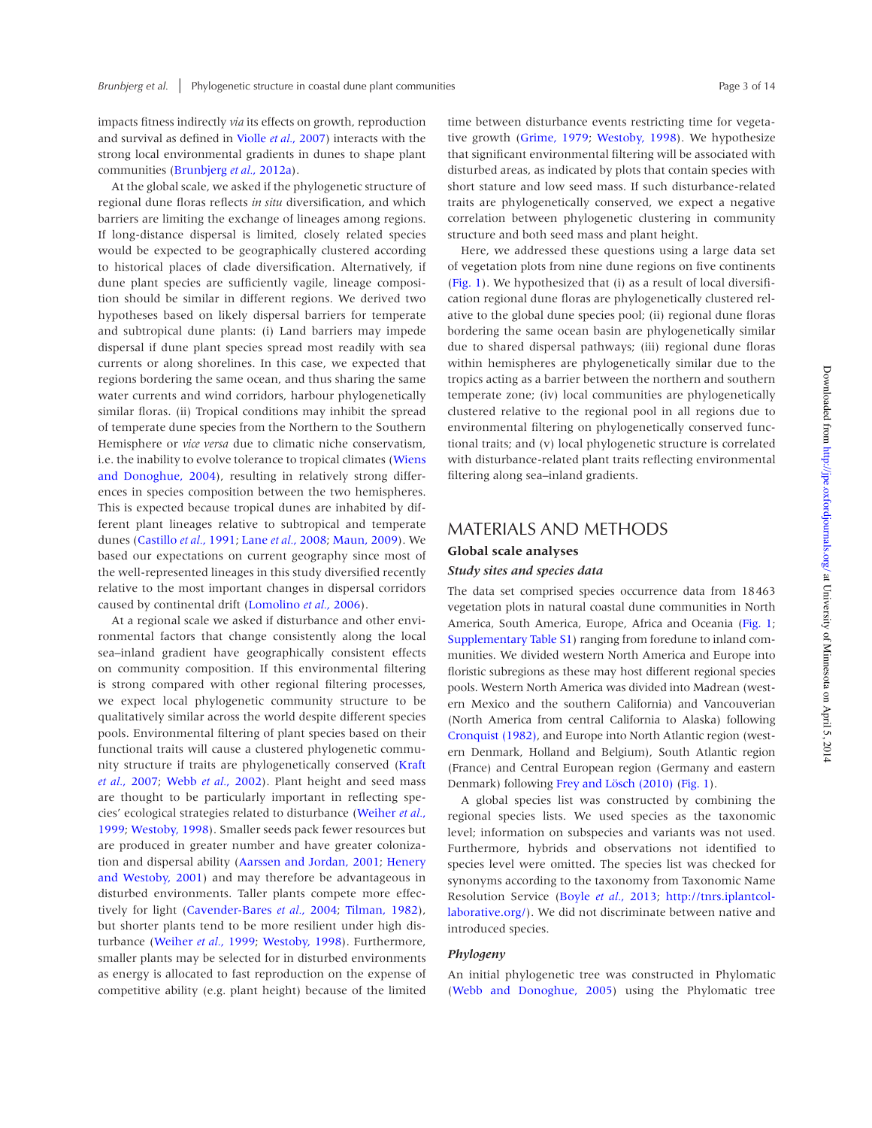impacts fitness indirectly *via* its effects on growth, reproduction and survival as defined in Violle *et al.*, 2007) interacts with the strong local environmental gradients in dunes to shape plant communities (Brunbjerg *et al.*, 2012a).

At the global scale, we asked if the phylogenetic structure of regional dune floras reflects *in situ* diversification, and which barriers are limiting the exchange of lineages among regions. If long-distance dispersal is limited, closely related species would be expected to be geographically clustered according to historical places of clade diversification. Alternatively, if dune plant species are sufficiently vagile, lineage composition should be similar in different regions. We derived two hypotheses based on likely dispersal barriers for temperate and subtropical dune plants: (i) Land barriers may impede dispersal if dune plant species spread most readily with sea currents or along shorelines. In this case, we expected that regions bordering the same ocean, and thus sharing the same water currents and wind corridors, harbour phylogenetically similar floras. (ii) Tropical conditions may inhibit the spread of temperate dune species from the Northern to the Southern Hemisphere or *vice versa* due to climatic niche conservatism, i.e. the inability to evolve tolerance to tropical climates (Wiens and Donoghue, 2004), resulting in relatively strong differences in species composition between the two hemispheres. This is expected because tropical dunes are inhabited by different plant lineages relative to subtropical and temperate dunes (Castillo *et al.*, 1991; Lane *et al.*, 2008; Maun, 2009). We based our expectations on current geography since most of the well-represented lineages in this study diversified recently relative to the most important changes in dispersal corridors caused by continental drift (Lomolino *et al.*, 2006).

At a regional scale we asked if disturbance and other environmental factors that change consistently along the local sea–inland gradient have geographically consistent effects on community composition. If this environmental filtering is strong compared with other regional filtering processes, we expect local phylogenetic community structure to be qualitatively similar across the world despite different species pools. Environmental filtering of plant species based on their functional traits will cause a clustered phylogenetic community structure if traits are phylogenetically conserved (Kraft *et al.*, 2007; Webb *et al.*, 2002). Plant height and seed mass are thought to be particularly important in reflecting species' ecological strategies related to disturbance (Weiher *et al.*, 1999; Westoby, 1998). Smaller seeds pack fewer resources but are produced in greater number and have greater colonization and dispersal ability (Aarssen and Jordan, 2001; Henery and Westoby, 2001) and may therefore be advantageous in disturbed environments. Taller plants compete more effectively for light (Cavender-Bares *et al.*, 2004; Tilman, 1982), but shorter plants tend to be more resilient under high disturbance (Weiher *et al.*, 1999; Westoby, 1998). Furthermore, smaller plants may be selected for in disturbed environments as energy is allocated to fast reproduction on the expense of competitive ability (e.g. plant height) because of the limited time between disturbance events restricting time for vegetative growth (Grime, 1979; Westoby, 1998). We hypothesize that significant environmental filtering will be associated with disturbed areas, as indicated by plots that contain species with short stature and low seed mass. If such disturbance-related traits are phylogenetically conserved, we expect a negative correlation between phylogenetic clustering in community structure and both seed mass and plant height.

Here, we addressed these questions using a large data set of vegetation plots from nine dune regions on five continents (Fig. 1). We hypothesized that (i) as a result of local diversification regional dune floras are phylogenetically clustered relative to the global dune species pool; (ii) regional dune floras bordering the same ocean basin are phylogenetically similar due to shared dispersal pathways; (iii) regional dune floras within hemispheres are phylogenetically similar due to the tropics acting as a barrier between the northern and southern temperate zone; (iv) local communities are phylogenetically clustered relative to the regional pool in all regions due to environmental filtering on phylogenetically conserved functional traits; and (v) local phylogenetic structure is correlated with disturbance-related plant traits reflecting environmental filtering along sea–inland gradients.

#### MATERIALS AND METHODS

#### **Global scale analyses**

#### *Study sites and species data*

The data set comprised species occurrence data from 18463 vegetation plots in natural coastal dune communities in North America, South America, Europe, Africa and Oceania (Fig. 1; Supplementary Table S1) ranging from foredune to inland communities. We divided western North America and Europe into floristic subregions as these may host different regional species pools. Western North America was divided into Madrean (western Mexico and the southern California) and Vancouverian (North America from central California to Alaska) following Cronquist (1982), and Europe into North Atlantic region (western Denmark, Holland and Belgium), South Atlantic region (France) and Central European region (Germany and eastern Denmark) following Frey and Lösch (2010) (Fig. 1).

A global species list was constructed by combining the regional species lists. We used species as the taxonomic level; information on subspecies and variants was not used. Furthermore, hybrids and observations not identified to species level were omitted. The species list was checked for synonyms according to the taxonomy from Taxonomic Name Resolution Service (Boyle *et al.*, 2013; http://tnrs.iplantcollaborative.org/). We did not discriminate between native and introduced species.

#### *Phylogeny*

An initial phylogenetic tree was constructed in Phylomatic (Webb and Donoghue, 2005) using the Phylomatic tree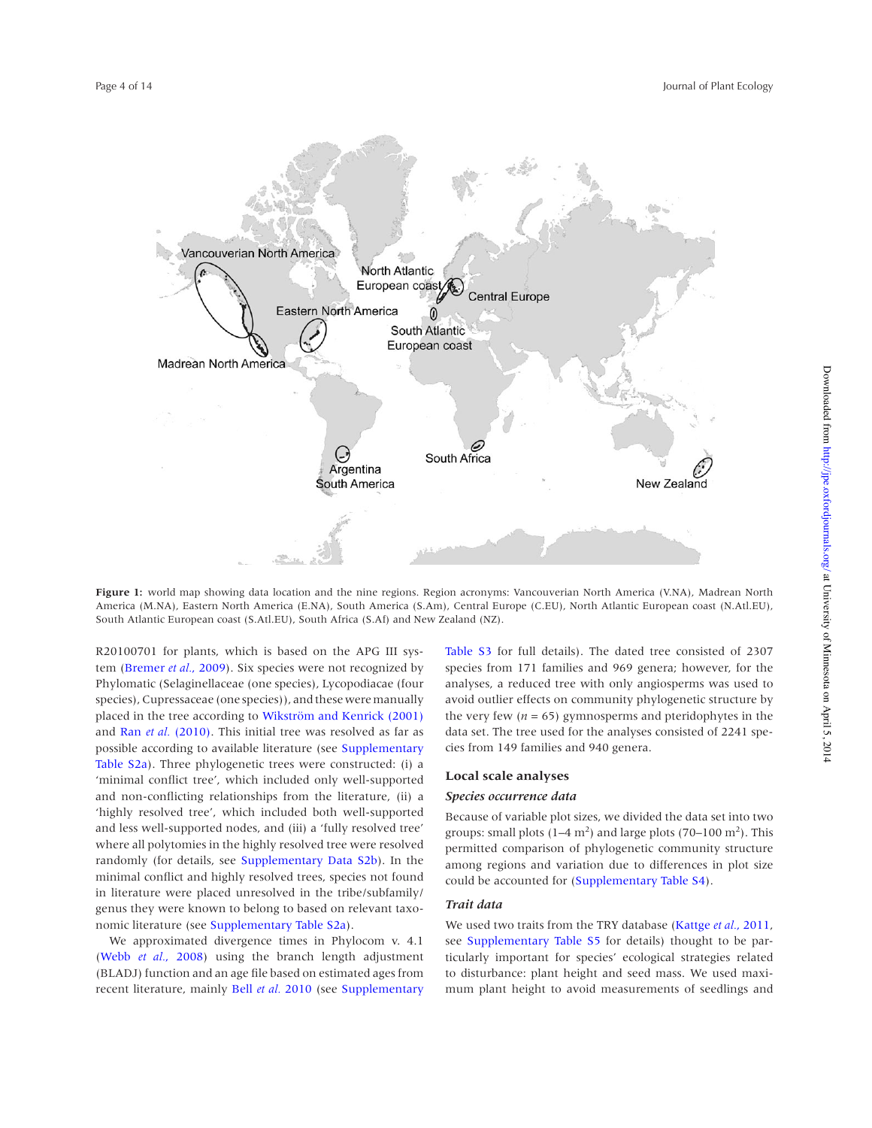

**Figure 1:** world map showing data location and the nine regions. Region acronyms: Vancouverian North America (V.NA), Madrean North America (M.NA), Eastern North America (E.NA), South America (S.Am), Central Europe (C.EU), North Atlantic European coast (N.Atl.EU), South Atlantic European coast (S.Atl.EU), South Africa (S.Af) and New Zealand (NZ).

R20100701 for plants, which is based on the APG III system (Bremer *et al.*, 2009). Six species were not recognized by Phylomatic (Selaginellaceae (one species), Lycopodiacae (four species), Cupressaceae (one species)), and these were manually placed in the tree according to Wikström and Kenrick (2001) and Ran *et al.* (2010). This initial tree was resolved as far as possible according to available literature (see Supplementary Table S2a). Three phylogenetic trees were constructed: (i) a 'minimal conflict tree', which included only well-supported and non-conflicting relationships from the literature, (ii) a 'highly resolved tree', which included both well-supported and less well-supported nodes, and (iii) a 'fully resolved tree' where all polytomies in the highly resolved tree were resolved randomly (for details, see Supplementary Data S2b). In the minimal conflict and highly resolved trees, species not found in literature were placed unresolved in the tribe/subfamily/ genus they were known to belong to based on relevant taxonomic literature (see Supplementary Table S2a).

We approximated divergence times in Phylocom v. 4.1 (Webb *et al.*, 2008) using the branch length adjustment (BLADJ) function and an age file based on estimated ages from recent literature, mainly Bell *et al.* 2010 (see Supplementary Table S3 for full details). The dated tree consisted of 2307 species from 171 families and 969 genera; however, for the analyses, a reduced tree with only angiosperms was used to avoid outlier effects on community phylogenetic structure by the very few  $(n = 65)$  gymnosperms and pteridophytes in the data set. The tree used for the analyses consisted of 2241 species from 149 families and 940 genera.

#### **Local scale analyses**

#### *Species occurrence data*

Because of variable plot sizes, we divided the data set into two groups: small plots  $(1-4 \text{ m}^2)$  and large plots  $(70-100 \text{ m}^2)$ . This permitted comparison of phylogenetic community structure among regions and variation due to differences in plot size could be accounted for (Supplementary Table S4).

#### *Trait data*

We used two traits from the TRY database (Kattge *et al.*, 2011, see Supplementary Table S5 for details) thought to be particularly important for species' ecological strategies related to disturbance: plant height and seed mass. We used maximum plant height to avoid measurements of seedlings and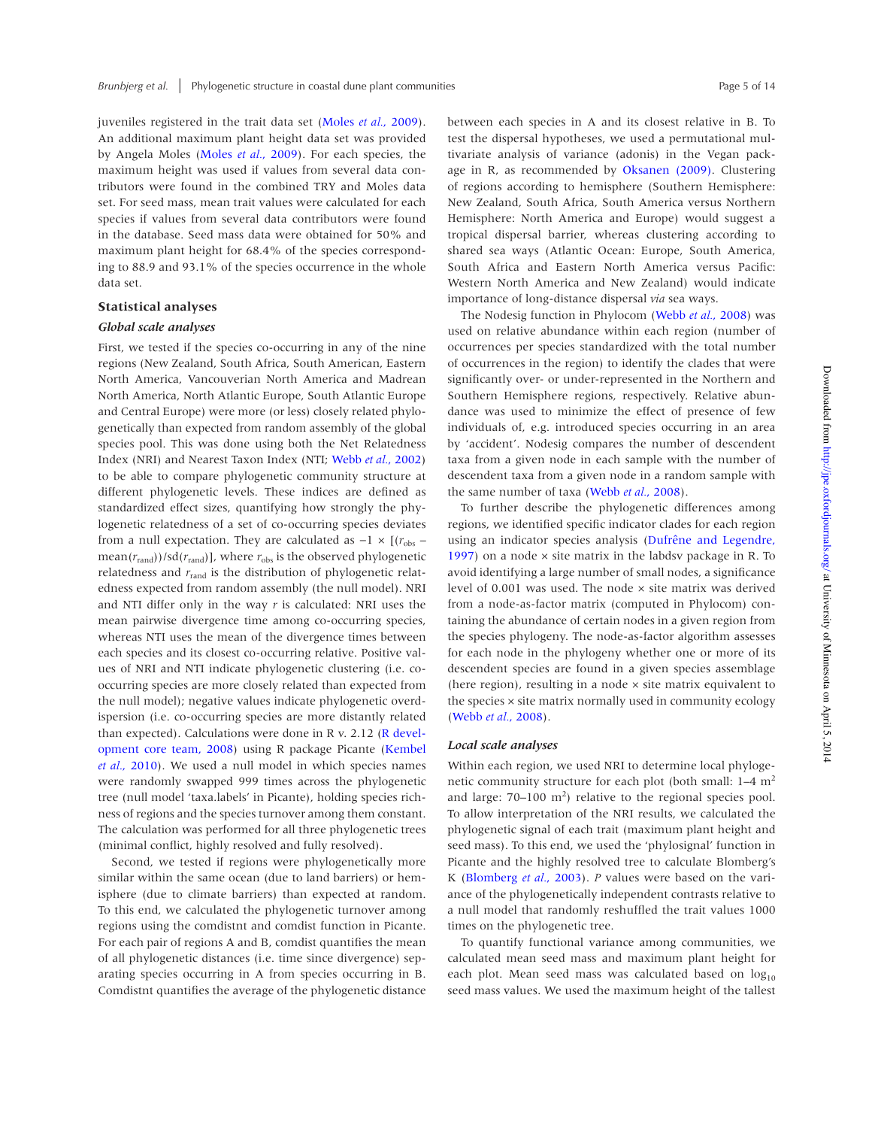juveniles registered in the trait data set (Moles *et al.*, 2009). An additional maximum plant height data set was provided by Angela Moles (Moles *et al.*, 2009). For each species, the maximum height was used if values from several data contributors were found in the combined TRY and Moles data set. For seed mass, mean trait values were calculated for each species if values from several data contributors were found in the database. Seed mass data were obtained for 50% and maximum plant height for 68.4% of the species corresponding to 88.9 and 93.1% of the species occurrence in the whole data set.

#### **Statistical analyses**

#### *Global scale analyses*

First, we tested if the species co-occurring in any of the nine regions (New Zealand, South Africa, South American, Eastern North America, Vancouverian North America and Madrean North America, North Atlantic Europe, South Atlantic Europe and Central Europe) were more (or less) closely related phylogenetically than expected from random assembly of the global species pool. This was done using both the Net Relatedness Index (NRI) and Nearest Taxon Index (NTI; Webb *et al.*, 2002) to be able to compare phylogenetic community structure at different phylogenetic levels. These indices are defined as standardized effect sizes, quantifying how strongly the phylogenetic relatedness of a set of co-occurring species deviates from a null expectation. They are calculated as  $-1 \times [(r_{obs}$ mean( $r_{\text{rand}}$ ))/sd( $r_{\text{rand}}$ )], where  $r_{\text{obs}}$  is the observed phylogenetic relatedness and  $r_{\text{rand}}$  is the distribution of phylogenetic relatedness expected from random assembly (the null model). NRI and NTI differ only in the way *r* is calculated: NRI uses the mean pairwise divergence time among co-occurring species, whereas NTI uses the mean of the divergence times between each species and its closest co-occurring relative. Positive values of NRI and NTI indicate phylogenetic clustering (i.e. cooccurring species are more closely related than expected from the null model); negative values indicate phylogenetic overdispersion (i.e. co-occurring species are more distantly related than expected). Calculations were done in R v. 2.12 (R development core team, 2008) using R package Picante (Kembel *et al.*, 2010). We used a null model in which species names were randomly swapped 999 times across the phylogenetic tree (null model 'taxa.labels' in Picante), holding species richness of regions and the species turnover among them constant. The calculation was performed for all three phylogenetic trees (minimal conflict, highly resolved and fully resolved).

Second, we tested if regions were phylogenetically more similar within the same ocean (due to land barriers) or hemisphere (due to climate barriers) than expected at random. To this end, we calculated the phylogenetic turnover among regions using the comdistnt and comdist function in Picante. For each pair of regions A and B, comdist quantifies the mean of all phylogenetic distances (i.e. time since divergence) separating species occurring in A from species occurring in B. Comdistnt quantifies the average of the phylogenetic distance between each species in A and its closest relative in B. To test the dispersal hypotheses, we used a permutational multivariate analysis of variance (adonis) in the Vegan package in R, as recommended by Oksanen (2009). Clustering of regions according to hemisphere (Southern Hemisphere: New Zealand, South Africa, South America versus Northern Hemisphere: North America and Europe) would suggest a tropical dispersal barrier, whereas clustering according to shared sea ways (Atlantic Ocean: Europe, South America, South Africa and Eastern North America versus Pacific: Western North America and New Zealand) would indicate importance of long-distance dispersal *via* sea ways.

The Nodesig function in Phylocom (Webb *et al.*, 2008) was used on relative abundance within each region (number of occurrences per species standardized with the total number of occurrences in the region) to identify the clades that were significantly over- or under-represented in the Northern and Southern Hemisphere regions, respectively. Relative abundance was used to minimize the effect of presence of few individuals of, e.g. introduced species occurring in an area by 'accident'. Nodesig compares the number of descendent taxa from a given node in each sample with the number of descendent taxa from a given node in a random sample with the same number of taxa (Webb *et al.*, 2008).

To further describe the phylogenetic differences among regions, we identified specific indicator clades for each region using an indicator species analysis (Dufrêne and Legendre, 1997) on a node  $\times$  site matrix in the labdsv package in R. To avoid identifying a large number of small nodes, a significance level of 0.001 was used. The node × site matrix was derived from a node-as-factor matrix (computed in Phylocom) containing the abundance of certain nodes in a given region from the species phylogeny. The node-as-factor algorithm assesses for each node in the phylogeny whether one or more of its descendent species are found in a given species assemblage (here region), resulting in a node  $\times$  site matrix equivalent to the species × site matrix normally used in community ecology (Webb *et al.*, 2008).

#### *Local scale analyses*

Within each region, we used NRI to determine local phylogenetic community structure for each plot (both small:  $1-4$  m<sup>2</sup> and large:  $70-100 \text{ m}^2$ ) relative to the regional species pool. To allow interpretation of the NRI results, we calculated the phylogenetic signal of each trait (maximum plant height and seed mass). To this end, we used the 'phylosignal' function in Picante and the highly resolved tree to calculate Blomberg's K (Blomberg *et al.*, 2003). *P* values were based on the variance of the phylogenetically independent contrasts relative to a null model that randomly reshuffled the trait values 1000 times on the phylogenetic tree.

To quantify functional variance among communities, we calculated mean seed mass and maximum plant height for each plot. Mean seed mass was calculated based on  $log_{10}$ seed mass values. We used the maximum height of the tallest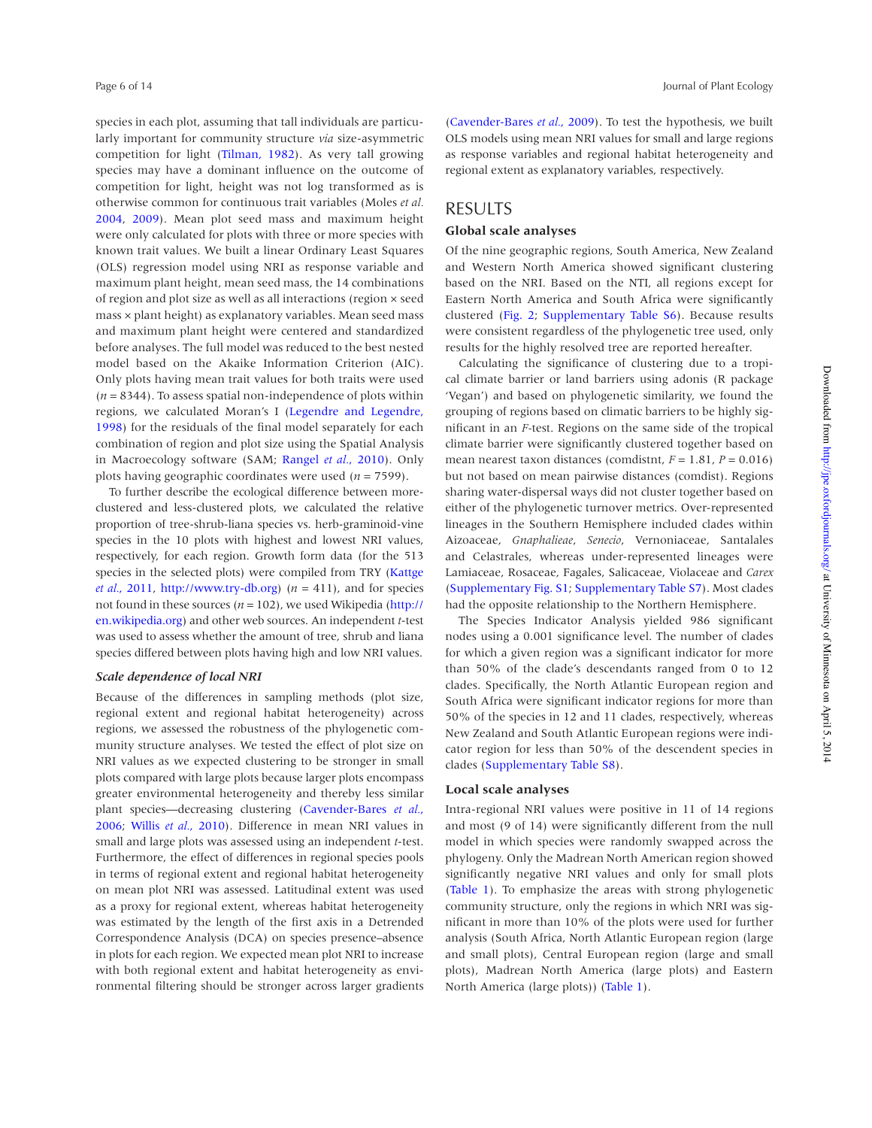species in each plot, assuming that tall individuals are particularly important for community structure *via* size-asymmetric competition for light (Tilman, 1982). As very tall growing species may have a dominant influence on the outcome of competition for light, height was not log transformed as is otherwise common for continuous trait variables (Moles *et al.* 2004, 2009). Mean plot seed mass and maximum height were only calculated for plots with three or more species with known trait values. We built a linear Ordinary Least Squares (OLS) regression model using NRI as response variable and maximum plant height, mean seed mass, the 14 combinations of region and plot size as well as all interactions (region × seed mass × plant height) as explanatory variables. Mean seed mass and maximum plant height were centered and standardized before analyses. The full model was reduced to the best nested model based on the Akaike Information Criterion (AIC). Only plots having mean trait values for both traits were used  $(n = 8344)$ . To assess spatial non-independence of plots within regions, we calculated Moran's I (Legendre and Legendre, 1998) for the residuals of the final model separately for each combination of region and plot size using the Spatial Analysis in Macroecology software (SAM; Rangel *et al.*, 2010). Only plots having geographic coordinates were used (*n* = 7599).

To further describe the ecological difference between moreclustered and less-clustered plots, we calculated the relative proportion of tree-shrub-liana species vs. herb-graminoid-vine species in the 10 plots with highest and lowest NRI values, respectively, for each region. Growth form data (for the 513 species in the selected plots) were compiled from TRY (Kattge *et al.*, 2011, http://www.try-db.org)  $(n = 411)$ , and for species not found in these sources ( $n = 102$ ), we used Wikipedia (http:// en.wikipedia.org) and other web sources. An independent *t*-test was used to assess whether the amount of tree, shrub and liana species differed between plots having high and low NRI values.

#### *Scale dependence of local NRI*

Because of the differences in sampling methods (plot size, regional extent and regional habitat heterogeneity) across regions, we assessed the robustness of the phylogenetic community structure analyses. We tested the effect of plot size on NRI values as we expected clustering to be stronger in small plots compared with large plots because larger plots encompass greater environmental heterogeneity and thereby less similar plant species—decreasing clustering (Cavender-Bares *et al.*, 2006; Willis *et al.*, 2010). Difference in mean NRI values in small and large plots was assessed using an independent *t*-test. Furthermore, the effect of differences in regional species pools in terms of regional extent and regional habitat heterogeneity on mean plot NRI was assessed. Latitudinal extent was used as a proxy for regional extent, whereas habitat heterogeneity was estimated by the length of the first axis in a Detrended Correspondence Analysis (DCA) on species presence–absence in plots for each region. We expected mean plot NRI to increase with both regional extent and habitat heterogeneity as environmental filtering should be stronger across larger gradients

(Cavender-Bares *et al.*, 2009). To test the hypothesis, we built OLS models using mean NRI values for small and large regions as response variables and regional habitat heterogeneity and regional extent as explanatory variables, respectively.

# RESULTS

## **Global scale analyses**

Of the nine geographic regions, South America, New Zealand and Western North America showed significant clustering based on the NRI. Based on the NTI, all regions except for Eastern North America and South Africa were significantly clustered (Fig. 2; Supplementary Table S6). Because results were consistent regardless of the phylogenetic tree used, only results for the highly resolved tree are reported hereafter.

Calculating the significance of clustering due to a tropical climate barrier or land barriers using adonis (R package 'Vegan') and based on phylogenetic similarity, we found the grouping of regions based on climatic barriers to be highly significant in an *F-*test. Regions on the same side of the tropical climate barrier were significantly clustered together based on mean nearest taxon distances (comdistnt, *F* = 1.81, *P* = 0.016) but not based on mean pairwise distances (comdist). Regions sharing water-dispersal ways did not cluster together based on either of the phylogenetic turnover metrics. Over-represented lineages in the Southern Hemisphere included clades within Aizoaceae, *Gnaphalieae*, *Senecio*, Vernoniaceae, Santalales and Celastrales, whereas under-represented lineages were Lamiaceae, Rosaceae, Fagales, Salicaceae, Violaceae and *Carex* (Supplementary Fig. S1; Supplementary Table S7). Most clades had the opposite relationship to the Northern Hemisphere.

The Species Indicator Analysis yielded 986 significant nodes using a 0.001 significance level. The number of clades for which a given region was a significant indicator for more than 50% of the clade's descendants ranged from 0 to 12 clades. Specifically, the North Atlantic European region and South Africa were significant indicator regions for more than 50% of the species in 12 and 11 clades, respectively, whereas New Zealand and South Atlantic European regions were indicator region for less than 50% of the descendent species in clades (Supplementary Table S8).

#### **Local scale analyses**

Intra-regional NRI values were positive in 11 of 14 regions and most (9 of 14) were significantly different from the null model in which species were randomly swapped across the phylogeny. Only the Madrean North American region showed significantly negative NRI values and only for small plots (Table 1). To emphasize the areas with strong phylogenetic community structure, only the regions in which NRI was significant in more than 10% of the plots were used for further analysis (South Africa, North Atlantic European region (large and small plots), Central European region (large and small plots), Madrean North America (large plots) and Eastern North America (large plots)) (Table 1).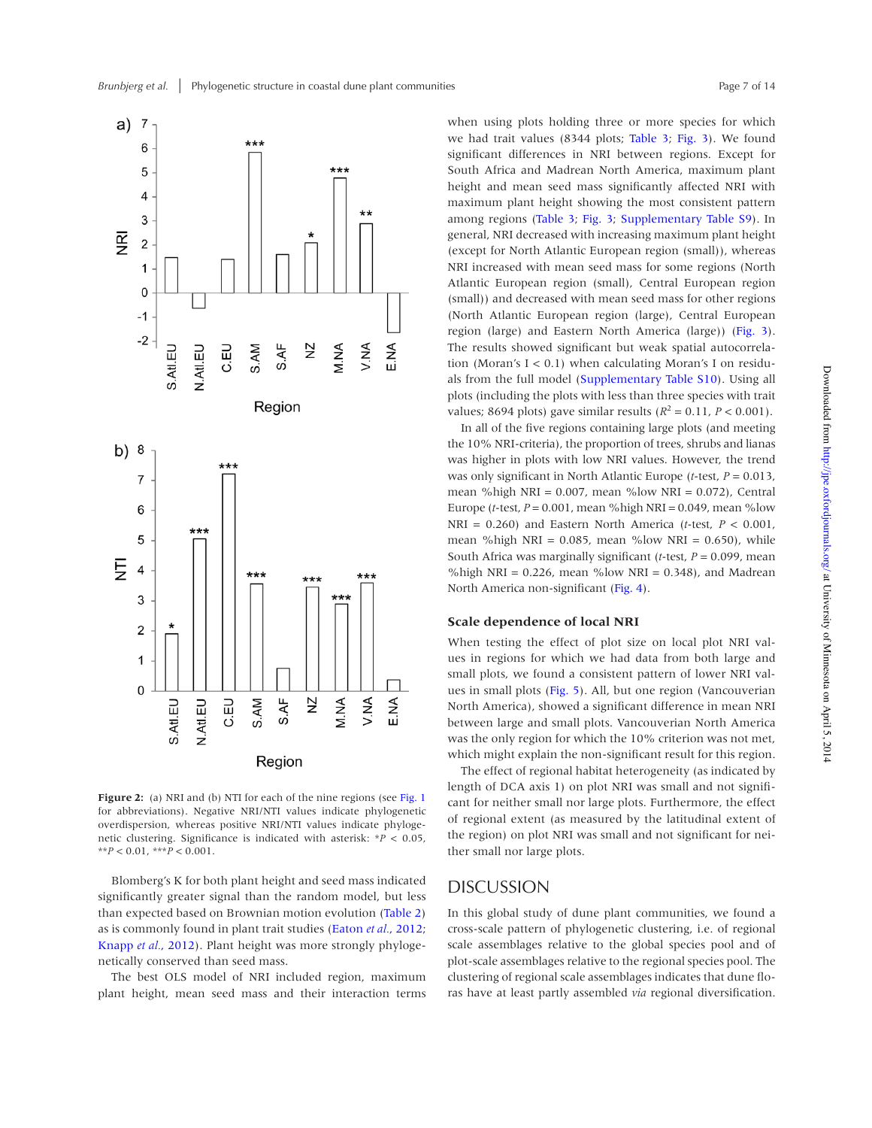

**Figure 2:** (a) NRI and (b) NTI for each of the nine regions (see Fig. 1 for abbreviations). Negative NRI/NTI values indicate phylogenetic overdispersion, whereas positive NRI/NTI values indicate phylogenetic clustering. Significance is indicated with asterisk: \**P* < 0.05,  $*$ *\*P* < 0.01,  $*$ *\*\*P* < 0.001.

Blomberg's K for both plant height and seed mass indicated significantly greater signal than the random model, but less than expected based on Brownian motion evolution (Table 2) as is commonly found in plant trait studies (Eaton *et al.*, 2012; Knapp *et al.*, 2012). Plant height was more strongly phylogenetically conserved than seed mass.

The best OLS model of NRI included region, maximum plant height, mean seed mass and their interaction terms

when using plots holding three or more species for which we had trait values (8344 plots; Table 3; Fig. 3). We found significant differences in NRI between regions. Except for South Africa and Madrean North America, maximum plant height and mean seed mass significantly affected NRI with maximum plant height showing the most consistent pattern among regions (Table 3; Fig. 3; Supplementary Table S9). In general, NRI decreased with increasing maximum plant height (except for North Atlantic European region (small)), whereas NRI increased with mean seed mass for some regions (North Atlantic European region (small), Central European region (small)) and decreased with mean seed mass for other regions (North Atlantic European region (large), Central European region (large) and Eastern North America (large)) (Fig. 3). The results showed significant but weak spatial autocorrelation (Moran's  $I < 0.1$ ) when calculating Moran's I on residuals from the full model (Supplementary Table S10). Using all plots (including the plots with less than three species with trait values; 8694 plots) gave similar results ( $R^2 = 0.11$ ,  $P < 0.001$ ).

In all of the five regions containing large plots (and meeting the 10% NRI-criteria), the proportion of trees, shrubs and lianas was higher in plots with low NRI values. However, the trend was only significant in North Atlantic Europe (*t*-test, *P* = 0.013, mean %high NRI =  $0.007$ , mean % $low$  NRI =  $0.072$ ), Central Europe (*t*-test, *P* = 0.001, mean %high NRI = 0.049, mean %low NRI = 0.260) and Eastern North America (*t*-test, *P* < 0.001, mean %high NRI =  $0.085$ , mean %low NRI =  $0.650$ ), while South Africa was marginally significant (*t*-test, *P* = 0.099, mean %high NRI =  $0.226$ , mean %low NRI =  $0.348$ ), and Madrean North America non-significant (Fig. 4).

#### **Scale dependence of local NRI**

When testing the effect of plot size on local plot NRI values in regions for which we had data from both large and small plots, we found a consistent pattern of lower NRI values in small plots (Fig. 5). All, but one region (Vancouverian North America), showed a significant difference in mean NRI between large and small plots. Vancouverian North America was the only region for which the 10% criterion was not met, which might explain the non-significant result for this region.

The effect of regional habitat heterogeneity (as indicated by length of DCA axis 1) on plot NRI was small and not significant for neither small nor large plots. Furthermore, the effect of regional extent (as measured by the latitudinal extent of the region) on plot NRI was small and not significant for neither small nor large plots.

# DISCUSSION

In this global study of dune plant communities, we found a cross-scale pattern of phylogenetic clustering, i.e. of regional scale assemblages relative to the global species pool and of plot-scale assemblages relative to the regional species pool. The clustering of regional scale assemblages indicates that dune floras have at least partly assembled *via* regional diversification.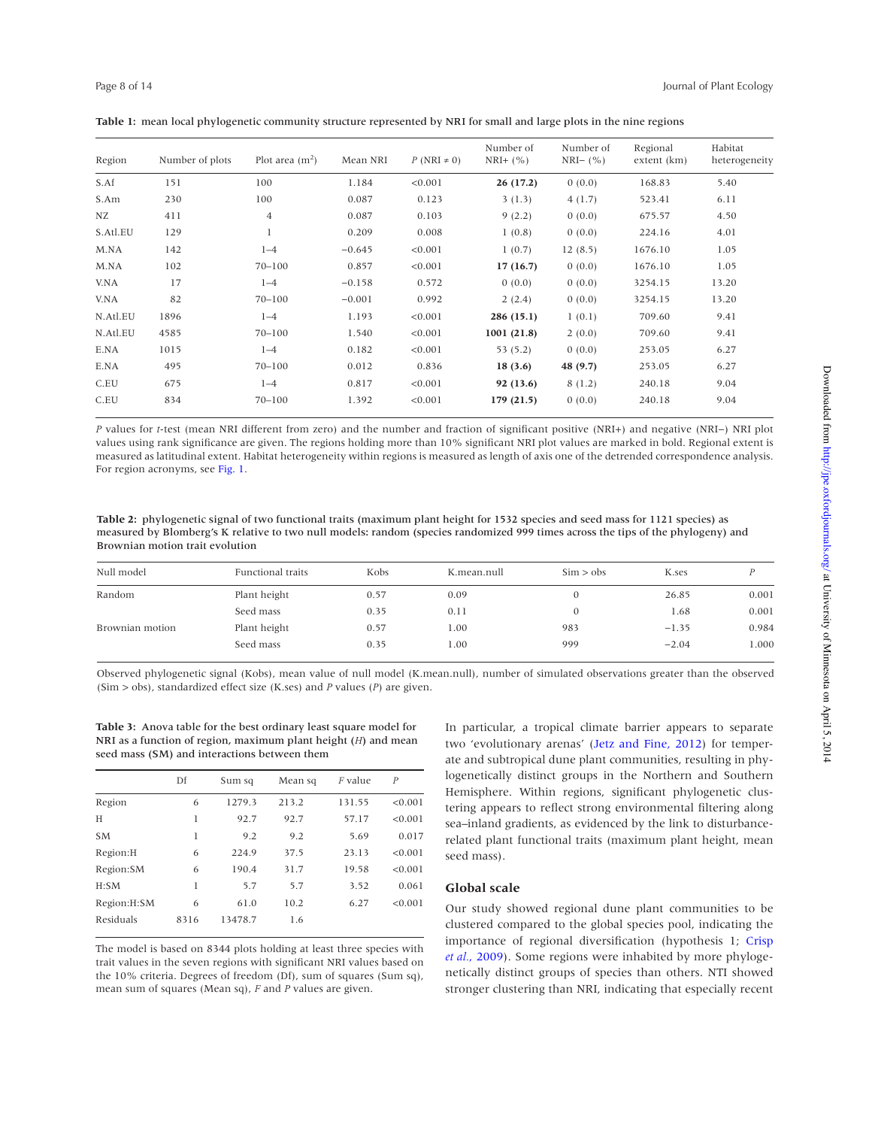| Region   | Number of plots | Plot area $(m2)$ | Mean NRI | $P(NRI \neq 0)$ | Number of<br>$NRI+ (%)$ | Number of<br>$NRI-$ (%) | Regional<br>extent (km) | Habitat<br>heterogeneity |
|----------|-----------------|------------------|----------|-----------------|-------------------------|-------------------------|-------------------------|--------------------------|
| S.Af     | 151             | 100              | 1.184    | < 0.001         | 26(17.2)                | 0(0.0)                  | 168.83                  | 5.40                     |
| S.Am     | 230             | 100              | 0.087    | 0.123           | 3(1.3)                  | 4(1.7)                  | 523.41                  | 6.11                     |
| NZ       | 411             | $\overline{4}$   | 0.087    | 0.103           | 9(2.2)                  | 0(0.0)                  | 675.57                  | 4.50                     |
| S.Atl.EU | 129             | $\mathbf{I}$     | 0.209    | 0.008           | 1(0.8)                  | 0(0.0)                  | 224.16                  | 4.01                     |
| M.NA     | 142             | $1 - 4$          | $-0.645$ | < 0.001         | 1(0.7)                  | 12(8.5)                 | 1676.10                 | 1.05                     |
| M.NA     | 102             | $70 - 100$       | 0.857    | < 0.001         | 17(16.7)                | 0(0.0)                  | 1676.10                 | 1.05                     |
| V.NA     | 17              | $1 - 4$          | $-0.158$ | 0.572           | 0(0.0)                  | 0(0.0)                  | 3254.15                 | 13.20                    |
| V.NA     | 82              | $70 - 100$       | $-0.001$ | 0.992           | 2(2.4)                  | 0(0.0)                  | 3254.15                 | 13.20                    |
| N.Atl.EU | 1896            | $1 - 4$          | 1.193    | < 0.001         | 286(15.1)               | 1(0.1)                  | 709.60                  | 9.41                     |
| N.Atl.EU | 4585            | $70 - 100$       | 1.540    | < 0.001         | 1001(21.8)              | 2(0.0)                  | 709.60                  | 9.41                     |
| E.NA     | 1015            | $1 - 4$          | 0.182    | < 0.001         | 53(5.2)                 | 0(0.0)                  | 253.05                  | 6.27                     |
| E.NA     | 495             | $70 - 100$       | 0.012    | 0.836           | 18(3.6)                 | 48 (9.7)                | 253.05                  | 6.27                     |
| C.EU     | 675             | $1 - 4$          | 0.817    | < 0.001         | 92(13.6)                | 8(1.2)                  | 240.18                  | 9.04                     |
| C.EU     | 834             | $70 - 100$       | 1.392    | < 0.001         | 179(21.5)               | 0(0.0)                  | 240.18                  | 9.04                     |

|  |  | Table 1: mean local phylogenetic community structure represented by NRI for small and large plots in the nine regions |  |  |
|--|--|-----------------------------------------------------------------------------------------------------------------------|--|--|
|--|--|-----------------------------------------------------------------------------------------------------------------------|--|--|

*P* values for *t*-test (mean NRI different from zero) and the number and fraction of significant positive (NRI+) and negative (NRI−) NRI plot values using rank significance are given. The regions holding more than 10% significant NRI plot values are marked in bold. Regional extent is measured as latitudinal extent. Habitat heterogeneity within regions is measured as length of axis one of the detrended correspondence analysis. For region acronyms, see Fig. 1.

**Table 2:** phylogenetic signal of two functional traits (maximum plant height for 1532 species and seed mass for 1121 species) as measured by Blomberg's K relative to two null models: random (species randomized 999 times across the tips of the phylogeny) and Brownian motion trait evolution

| Null model      | Functional traits | Kobs | K.mean.null | $\text{Sim} > \text{obs}$ | K.ses   |       |
|-----------------|-------------------|------|-------------|---------------------------|---------|-------|
| Random          | Plant height      | 0.57 | 0.09        |                           | 26.85   | 0.001 |
|                 | Seed mass         | 0.35 | 0.11        |                           | 1.68    | 0.001 |
| Brownian motion | Plant height      | 0.57 | 1.00        | 983                       | $-1.35$ | 0.984 |
|                 | Seed mass         | 0.35 | 1.00        | 999                       | $-2.04$ | 1.000 |

Observed phylogenetic signal (Kobs), mean value of null model (K.mean.null), number of simulated observations greater than the observed (Sim > obs), standardized effect size (K.ses) and *P* values (*P*) are given.

**Table 3:** Anova table for the best ordinary least square model for NRI as a function of region, maximum plant height (*H*) and mean seed mass (SM) and interactions between them

|             | Df   | Sum sq  | Mean sq | <i>F</i> value | $\boldsymbol{P}$ |
|-------------|------|---------|---------|----------------|------------------|
| Region      | 6    | 1279.3  | 213.2   | 131.55         | < 0.001          |
| H           | 1    | 92.7    | 92.7    | 57.17          | < 0.001          |
| <b>SM</b>   | l    | 9.2     | 9.2     | 5.69           | 0.017            |
| Region:H    | 6    | 224.9   | 37.5    | 23.13          | < 0.001          |
| Region: SM  | 6    | 190.4   | 31.7    | 19.58          | < 0.001          |
| H:SM        | 1    | 5.7     | 5.7     | 3.52           | 0.061            |
| Region:H:SM | 6    | 61.0    | 10.2    | 6.27           | < 0.001          |
| Residuals   | 8316 | 13478.7 | 1.6     |                |                  |

The model is based on 8344 plots holding at least three species with trait values in the seven regions with significant NRI values based on the 10% criteria. Degrees of freedom (Df), sum of squares (Sum sq), mean sum of squares (Mean sq), *F* and *P* values are given.

In particular, a tropical climate barrier appears to separate two 'evolutionary arenas' (Jetz and Fine, 2012) for temperate and subtropical dune plant communities, resulting in phylogenetically distinct groups in the Northern and Southern Hemisphere. Within regions, significant phylogenetic clustering appears to reflect strong environmental filtering along sea–inland gradients, as evidenced by the link to disturbancerelated plant functional traits (maximum plant height, mean seed mass).

#### **Global scale**

Our study showed regional dune plant communities to be clustered compared to the global species pool, indicating the importance of regional diversification (hypothesis 1; Crisp *et al.*, 2009). Some regions were inhabited by more phylogenetically distinct groups of species than others. NTI showed stronger clustering than NRI, indicating that especially recent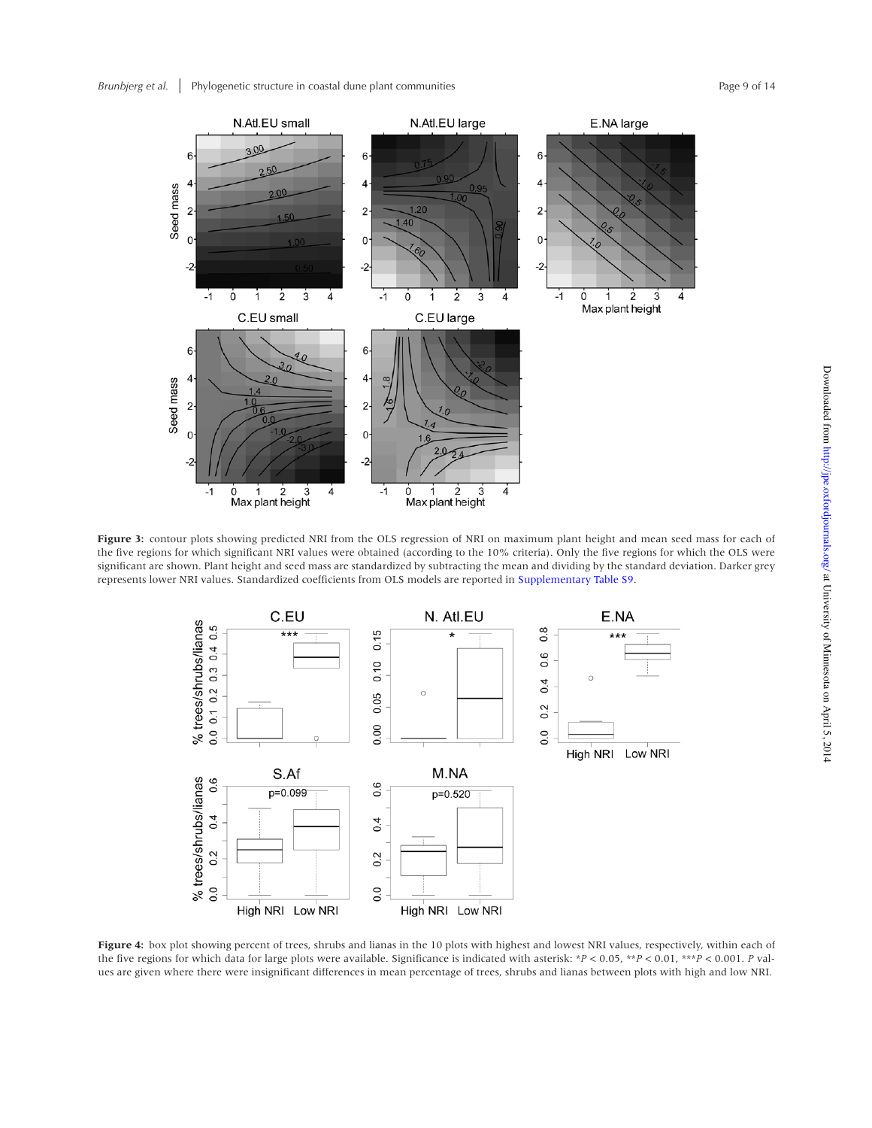

**Figure 3:** contour plots showing predicted NRI from the OLS regression of NRI on maximum plant height and mean seed mass for each of the five regions for which significant NRI values were obtained (according to the 10% criteria). Only the five regions for which the OLS were significant are shown. Plant height and seed mass are standardized by subtracting the mean and dividing by the standard deviation. Darker grey represents lower NRI values. Standardized coefficients from OLS models are reported in Supplementary Table S9.



**Figure 4:** box plot showing percent of trees, shrubs and lianas in the 10 plots with highest and lowest NRI values, respectively, within each of the five regions for which data for large plots were available. Significance is indicated with asterisk: \**P* < 0.05, \*\**P* < 0.01, \*\*\**P* < 0.001. *P* values are given where there were insignificant differences in mean percentage of trees, shrubs and lianas between plots with high and low NRI.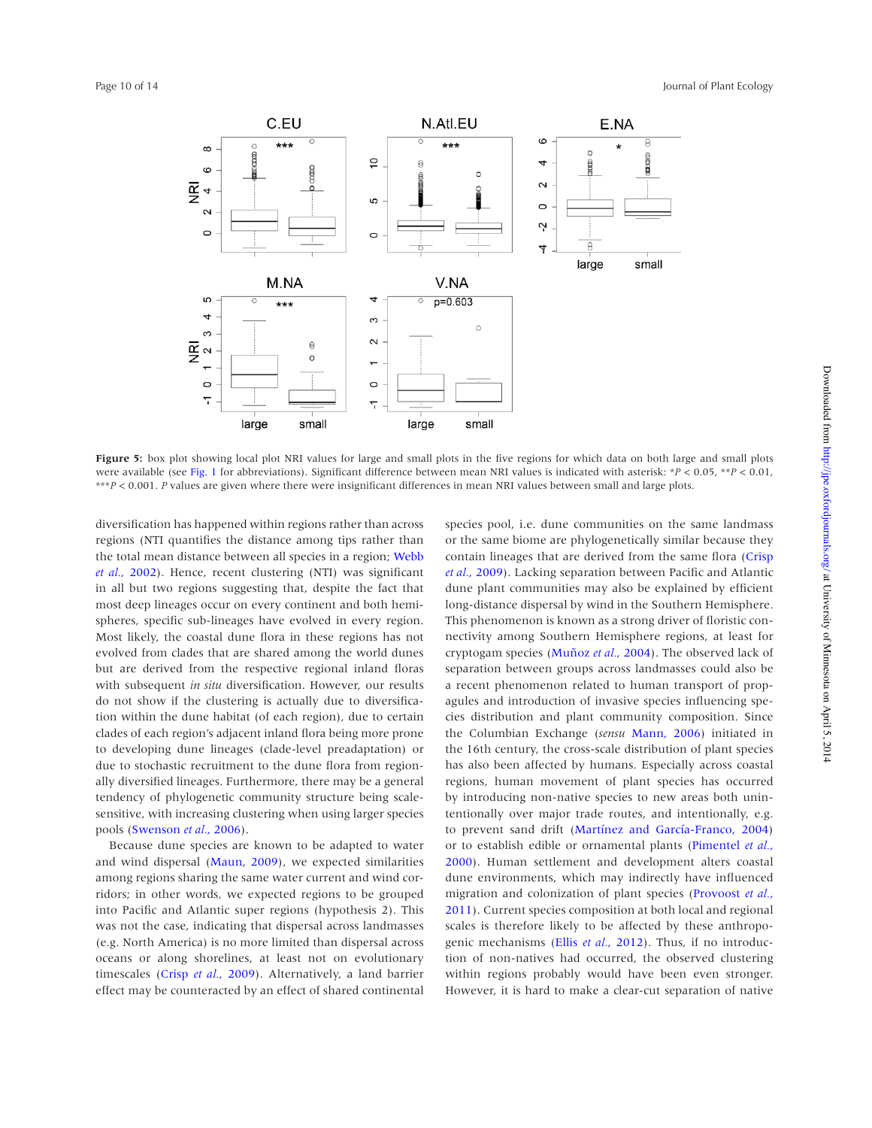

**Figure 5:** box plot showing local plot NRI values for large and small plots in the five regions for which data on both large and small plots were available (see Fig. 1 for abbreviations). Significant difference between mean NRI values is indicated with asterisk: \**P* < 0.05, \*\**P* < 0.01, \*\*\**P* < 0.001. *P* values are given where there were insignificant differences in mean NRI values between small and large plots.

diversification has happened within regions rather than across regions (NTI quantifies the distance among tips rather than the total mean distance between all species in a region; Webb *et al.*, 2002). Hence, recent clustering (NTI) was significant in all but two regions suggesting that, despite the fact that most deep lineages occur on every continent and both hemispheres, specific sub-lineages have evolved in every region. Most likely, the coastal dune flora in these regions has not evolved from clades that are shared among the world dunes but are derived from the respective regional inland floras with subsequent *in situ* diversification. However, our results do not show if the clustering is actually due to diversification within the dune habitat (of each region), due to certain clades of each region's adjacent inland flora being more prone to developing dune lineages (clade-level preadaptation) or due to stochastic recruitment to the dune flora from regionally diversified lineages. Furthermore, there may be a general tendency of phylogenetic community structure being scalesensitive, with increasing clustering when using larger species pools (Swenson *et al.*, 2006).

Because dune species are known to be adapted to water and wind dispersal (Maun, 2009), we expected similarities among regions sharing the same water current and wind corridors; in other words, we expected regions to be grouped into Pacific and Atlantic super regions (hypothesis 2). This was not the case, indicating that dispersal across landmasses (e.g. North America) is no more limited than dispersal across oceans or along shorelines, at least not on evolutionary timescales (Crisp *et al.*, 2009). Alternatively, a land barrier effect may be counteracted by an effect of shared continental species pool, i.e. dune communities on the same landmass or the same biome are phylogenetically similar because they contain lineages that are derived from the same flora (Crisp *et al.*, 2009). Lacking separation between Pacific and Atlantic dune plant communities may also be explained by efficient long-distance dispersal by wind in the Southern Hemisphere. This phenomenon is known as a strong driver of floristic connectivity among Southern Hemisphere regions, at least for cryptogam species (Muñoz *et al.*, 2004). The observed lack of separation between groups across landmasses could also be a recent phenomenon related to human transport of propagules and introduction of invasive species influencing species distribution and plant community composition. Since the Columbian Exchange (*sensu* Mann, 2006) initiated in the 16th century, the cross-scale distribution of plant species has also been affected by humans. Especially across coastal regions, human movement of plant species has occurred by introducing non-native species to new areas both unintentionally over major trade routes, and intentionally, e.g. to prevent sand drift (Martínez and García-Franco, 2004) or to establish edible or ornamental plants (Pimentel *et al.*, 2000). Human settlement and development alters coastal dune environments, which may indirectly have influenced migration and colonization of plant species (Provoost *et al.*, 2011). Current species composition at both local and regional scales is therefore likely to be affected by these anthropogenic mechanisms (Ellis *et al.*, 2012). Thus, if no introduction of non-natives had occurred, the observed clustering within regions probably would have been even stronger. However, it is hard to make a clear-cut separation of native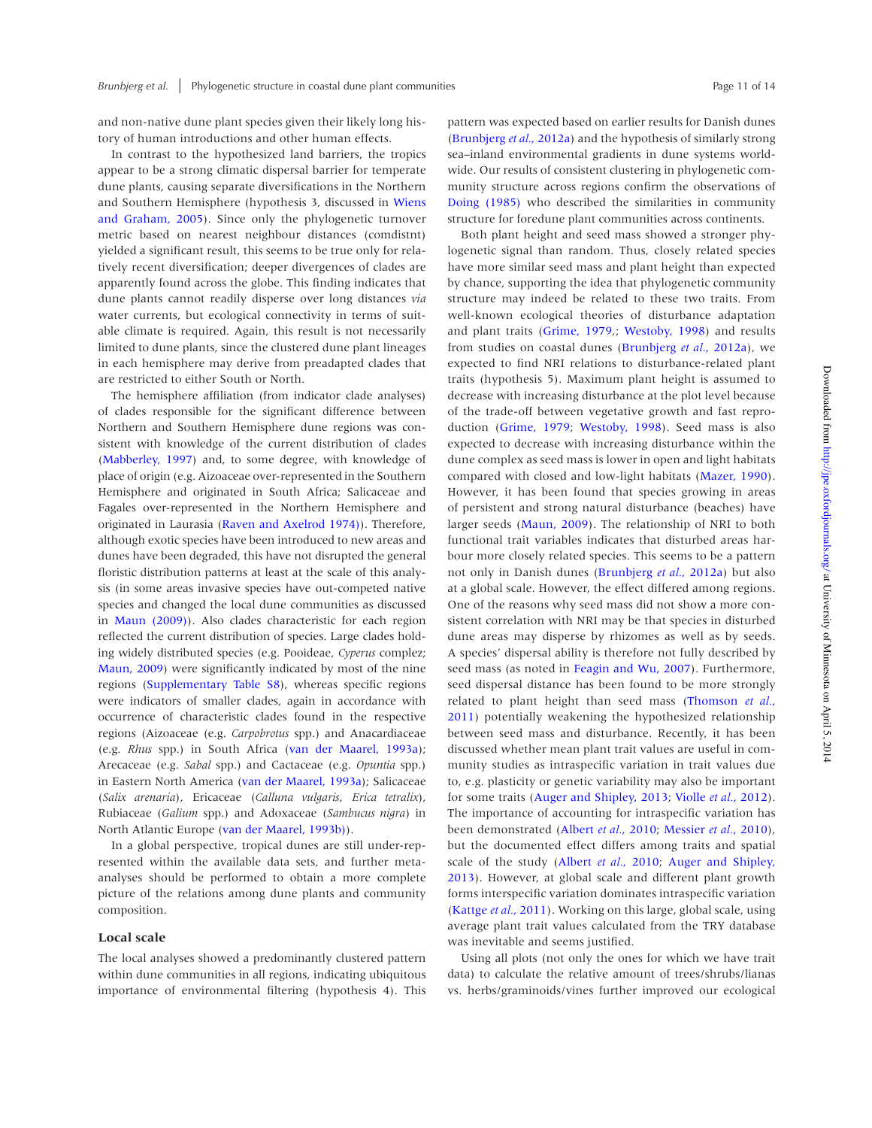and non-native dune plant species given their likely long history of human introductions and other human effects.

In contrast to the hypothesized land barriers, the tropics appear to be a strong climatic dispersal barrier for temperate dune plants, causing separate diversifications in the Northern and Southern Hemisphere (hypothesis 3, discussed in Wiens and Graham, 2005). Since only the phylogenetic turnover metric based on nearest neighbour distances (comdistnt) yielded a significant result, this seems to be true only for relatively recent diversification; deeper divergences of clades are apparently found across the globe. This finding indicates that dune plants cannot readily disperse over long distances *via* water currents, but ecological connectivity in terms of suitable climate is required. Again, this result is not necessarily limited to dune plants, since the clustered dune plant lineages in each hemisphere may derive from preadapted clades that are restricted to either South or North.

The hemisphere affiliation (from indicator clade analyses) of clades responsible for the significant difference between Northern and Southern Hemisphere dune regions was consistent with knowledge of the current distribution of clades (Mabberley, 1997) and, to some degree, with knowledge of place of origin (e.g. Aizoaceae over-represented in the Southern Hemisphere and originated in South Africa; Salicaceae and Fagales over-represented in the Northern Hemisphere and originated in Laurasia (Raven and Axelrod 1974)). Therefore, although exotic species have been introduced to new areas and dunes have been degraded, this have not disrupted the general floristic distribution patterns at least at the scale of this analysis (in some areas invasive species have out-competed native species and changed the local dune communities as discussed in Maun (2009)). Also clades characteristic for each region reflected the current distribution of species. Large clades holding widely distributed species (e.g. Pooideae, *Cyperus* complez; Maun, 2009) were significantly indicated by most of the nine regions (Supplementary Table S8), whereas specific regions were indicators of smaller clades, again in accordance with occurrence of characteristic clades found in the respective regions (Aizoaceae (e.g. *Carpobrotus* spp.) and Anacardiaceae (e.g. *Rhus* spp.) in South Africa (van der Maarel, 1993a); Arecaceae (e.g. *Sabal* spp.) and Cactaceae (e.g. *Opuntia* spp.) in Eastern North America (van der Maarel, 1993a); Salicaceae (*Salix arenaria*), Ericaceae (*Calluna vulgaris*, *Erica tetralix*), Rubiaceae (*Galium* spp.) and Adoxaceae (*Sambucus nigra*) in North Atlantic Europe (van der Maarel, 1993b)).

In a global perspective, tropical dunes are still under-represented within the available data sets, and further metaanalyses should be performed to obtain a more complete picture of the relations among dune plants and community composition.

#### **Local scale**

The local analyses showed a predominantly clustered pattern within dune communities in all regions, indicating ubiquitous importance of environmental filtering (hypothesis 4). This pattern was expected based on earlier results for Danish dunes (Brunbjerg *et al.*, 2012a) and the hypothesis of similarly strong sea–inland environmental gradients in dune systems worldwide. Our results of consistent clustering in phylogenetic community structure across regions confirm the observations of Doing (1985) who described the similarities in community structure for foredune plant communities across continents.

Both plant height and seed mass showed a stronger phylogenetic signal than random. Thus, closely related species have more similar seed mass and plant height than expected by chance, supporting the idea that phylogenetic community structure may indeed be related to these two traits. From well-known ecological theories of disturbance adaptation and plant traits (Grime, 1979,; Westoby, 1998) and results from studies on coastal dunes (Brunbjerg *et al.*, 2012a), we expected to find NRI relations to disturbance-related plant traits (hypothesis 5). Maximum plant height is assumed to decrease with increasing disturbance at the plot level because of the trade-off between vegetative growth and fast reproduction (Grime, 1979; Westoby, 1998). Seed mass is also expected to decrease with increasing disturbance within the dune complex as seed mass is lower in open and light habitats compared with closed and low-light habitats (Mazer, 1990). However, it has been found that species growing in areas of persistent and strong natural disturbance (beaches) have larger seeds (Maun, 2009). The relationship of NRI to both functional trait variables indicates that disturbed areas harbour more closely related species. This seems to be a pattern not only in Danish dunes (Brunbjerg *et al.*, 2012a) but also at a global scale. However, the effect differed among regions. One of the reasons why seed mass did not show a more consistent correlation with NRI may be that species in disturbed dune areas may disperse by rhizomes as well as by seeds. A species' dispersal ability is therefore not fully described by seed mass (as noted in Feagin and Wu, 2007). Furthermore, seed dispersal distance has been found to be more strongly related to plant height than seed mass (Thomson *et al.*, 2011) potentially weakening the hypothesized relationship between seed mass and disturbance. Recently, it has been discussed whether mean plant trait values are useful in community studies as intraspecific variation in trait values due to, e.g. plasticity or genetic variability may also be important for some traits (Auger and Shipley, 2013; Violle *et al.*, 2012). The importance of accounting for intraspecific variation has been demonstrated (Albert *et al.*, 2010; Messier *et al.*, 2010), but the documented effect differs among traits and spatial scale of the study (Albert *et al.*, 2010; Auger and Shipley, 2013). However, at global scale and different plant growth forms interspecific variation dominates intraspecific variation (Kattge *et al.*, 2011). Working on this large, global scale, using average plant trait values calculated from the TRY database was inevitable and seems justified.

Using all plots (not only the ones for which we have trait data) to calculate the relative amount of trees/shrubs/lianas vs. herbs/graminoids/vines further improved our ecological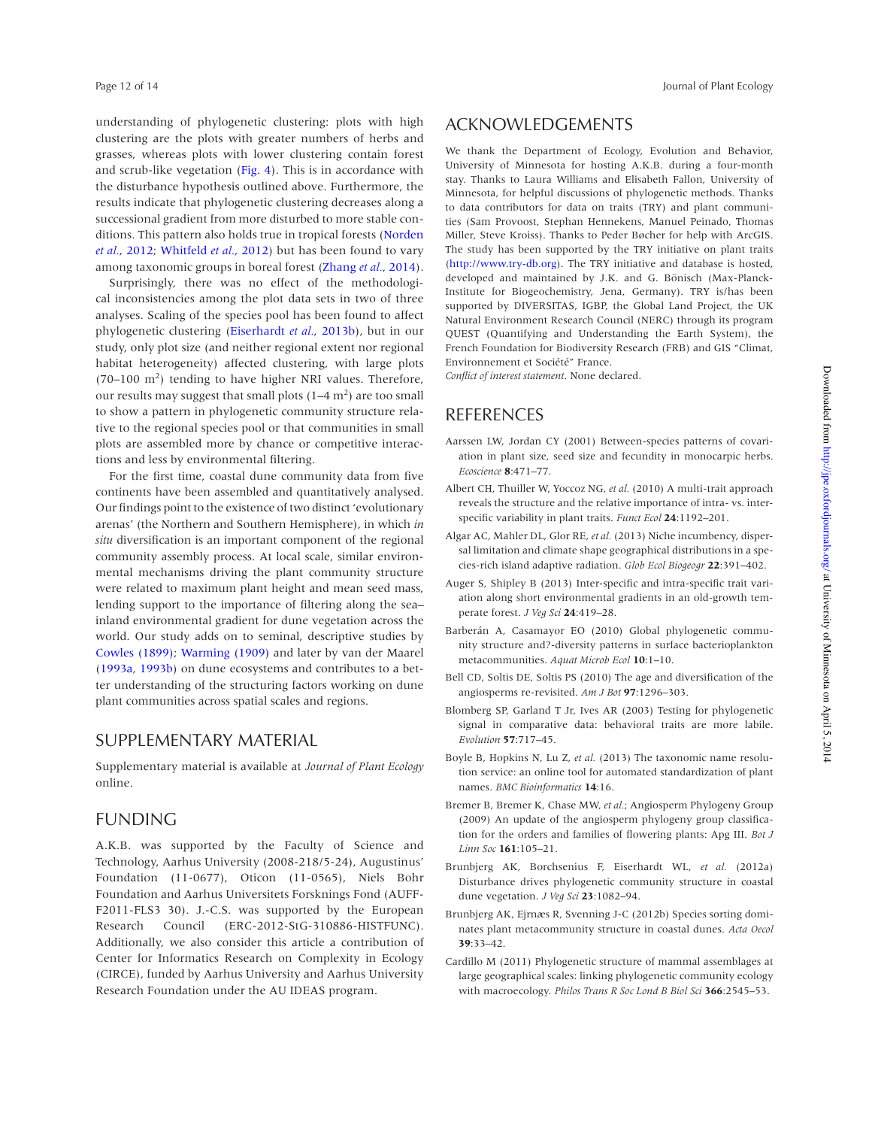understanding of phylogenetic clustering: plots with high clustering are the plots with greater numbers of herbs and grasses, whereas plots with lower clustering contain forest and scrub-like vegetation (Fig. 4). This is in accordance with the disturbance hypothesis outlined above. Furthermore, the results indicate that phylogenetic clustering decreases along a successional gradient from more disturbed to more stable conditions. This pattern also holds true in tropical forests (Norden *et al.*, 2012; Whitfeld *et al.*, 2012) but has been found to vary among taxonomic groups in boreal forest (Zhang *et al.*, 2014).

Surprisingly, there was no effect of the methodological inconsistencies among the plot data sets in two of three analyses. Scaling of the species pool has been found to affect phylogenetic clustering (Eiserhardt *et al.*, 2013b), but in our study, only plot size (and neither regional extent nor regional habitat heterogeneity) affected clustering, with large plots  $(70-100 \text{ m}^2)$  tending to have higher NRI values. Therefore, our results may suggest that small plots  $(1-4 \text{ m}^2)$  are too small to show a pattern in phylogenetic community structure relative to the regional species pool or that communities in small plots are assembled more by chance or competitive interactions and less by environmental filtering.

For the first time, coastal dune community data from five continents have been assembled and quantitatively analysed. Our findings point to the existence of two distinct 'evolutionary arenas' (the Northern and Southern Hemisphere), in which *in situ* diversification is an important component of the regional community assembly process. At local scale, similar environmental mechanisms driving the plant community structure were related to maximum plant height and mean seed mass, lending support to the importance of filtering along the sea– inland environmental gradient for dune vegetation across the world. Our study adds on to seminal, descriptive studies by Cowles (1899); Warming (1909) and later by van der Maarel (1993a, 1993b) on dune ecosystems and contributes to a better understanding of the structuring factors working on dune plant communities across spatial scales and regions.

### SUPPLEMENTARY MATERIAL

Supplementary material is available at *Journal of Plant Ecology* online.

## FUNDING

A.K.B. was supported by the Faculty of Science and Technology, Aarhus University (2008-218/5-24), Augustinus' Foundation (11-0677), Oticon (11-0565), Niels Bohr Foundation and Aarhus Universitets Forsknings Fond (AUFF-F2011-FLS3 30). J.-C.S. was supported by the European Research Council (ERC-2012-StG-310886-HISTFUNC). Additionally, we also consider this article a contribution of Center for Informatics Research on Complexity in Ecology (CIRCE), funded by Aarhus University and Aarhus University Research Foundation under the AU IDEAS program.

# ACKNOWLEDGEMENTS

We thank the Department of Ecology, Evolution and Behavior, University of Minnesota for hosting A.K.B. during a four-month stay. Thanks to Laura Williams and Elisabeth Fallon, University of Minnesota, for helpful discussions of phylogenetic methods. Thanks to data contributors for data on traits (TRY) and plant communities (Sam Provoost, Stephan Hennekens, Manuel Peinado, Thomas Miller, Steve Kroiss). Thanks to Peder Bøcher for help with ArcGIS. The study has been supported by the TRY initiative on plant traits (http://www.try-db.org). The TRY initiative and database is hosted, developed and maintained by J.K. and G. Bönisch (Max-Planck-Institute for Biogeochemistry, Jena, Germany). TRY is/has been supported by DIVERSITAS, IGBP, the Global Land Project, the UK Natural Environment Research Council (NERC) through its program QUEST (Quantifying and Understanding the Earth System), the French Foundation for Biodiversity Research (FRB) and GIS "Climat, Environnement et Société" France.

*Conflict of interest statement*. None declared.

# REFERENCES

- Aarssen LW, Jordan CY (2001) Between-species patterns of covariation in plant size, seed size and fecundity in monocarpic herbs. *Ecoscience* **8**:471–77.
- Albert CH, Thuiller W, Yoccoz NG, *et al.* (2010) A multi-trait approach reveals the structure and the relative importance of intra- vs. interspecific variability in plant traits. *Funct Ecol* **24**:1192–201.
- Algar AC, Mahler DL, Glor RE, *et al.* (2013) Niche incumbency, dispersal limitation and climate shape geographical distributions in a species-rich island adaptive radiation. *Glob Ecol Biogeogr* **22**:391–402.
- Auger S, Shipley B (2013) Inter-specific and intra-specific trait variation along short environmental gradients in an old-growth temperate forest. *J Veg Sci* **24**:419–28.
- Barberán A, Casamayor EO (2010) Global phylogenetic community structure and?-diversity patterns in surface bacterioplankton metacommunities. *Aquat Microb Ecol* **10**:1–10.
- Bell CD, Soltis DE, Soltis PS (2010) The age and diversification of the angiosperms re-revisited. *Am J Bot* **97**:1296–303.
- Blomberg SP, Garland T Jr, Ives AR (2003) Testing for phylogenetic signal in comparative data: behavioral traits are more labile. *Evolution* **57**:717–45.
- Boyle B, Hopkins N, Lu Z, *et al.* (2013) The taxonomic name resolution service: an online tool for automated standardization of plant names. *BMC Bioinformatics* **14**:16.
- Bremer B, Bremer K, Chase MW, *et al.*; Angiosperm Phylogeny Group (2009) An update of the angiosperm phylogeny group classification for the orders and families of flowering plants: Apg III. *Bot J Linn Soc* **161**:105–21.
- Brunbjerg AK, Borchsenius F, Eiserhardt WL, *et al.* (2012a) Disturbance drives phylogenetic community structure in coastal dune vegetation. *J Veg Sci* **23**:1082–94.
- Brunbjerg AK, Ejrnæs R, Svenning J-C (2012b) Species sorting dominates plant metacommunity structure in coastal dunes. *Acta Oecol* **39**:33–42.
- Cardillo M (2011) Phylogenetic structure of mammal assemblages at large geographical scales: linking phylogenetic community ecology with macroecology. *Philos Trans R Soc Lond B Biol Sci* **366**:2545–53.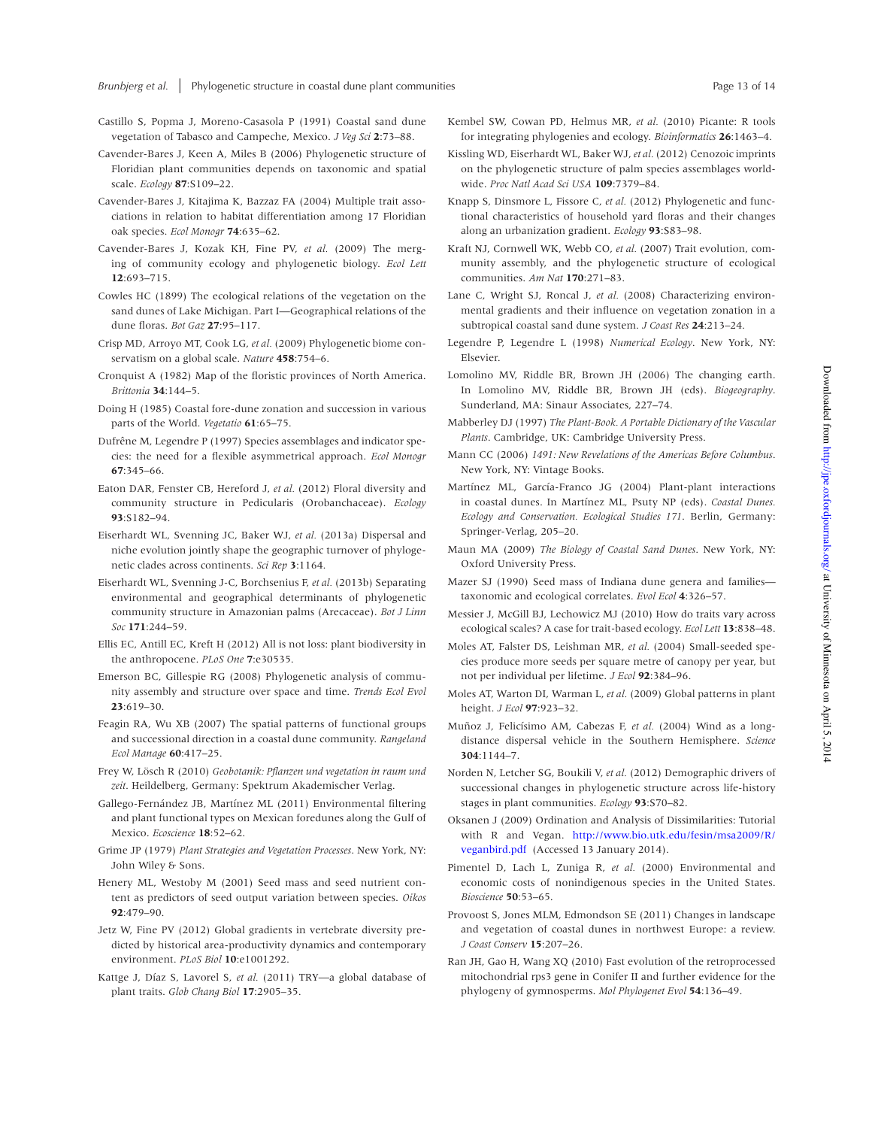- Castillo S, Popma J, Moreno-Casasola P (1991) Coastal sand dune vegetation of Tabasco and Campeche, Mexico. *J Veg Sci* **2**:73–88.
- Cavender-Bares J, Keen A, Miles B (2006) Phylogenetic structure of Floridian plant communities depends on taxonomic and spatial scale. *Ecology* **87**:S109–22.
- Cavender-Bares J, Kitajima K, Bazzaz FA (2004) Multiple trait associations in relation to habitat differentiation among 17 Floridian oak species. *Ecol Monogr* **74**:635–62.
- Cavender-Bares J, Kozak KH, Fine PV, *et al.* (2009) The merging of community ecology and phylogenetic biology. *Ecol Lett* **12**:693–715.
- Cowles HC (1899) The ecological relations of the vegetation on the sand dunes of Lake Michigan. Part I—Geographical relations of the dune floras. *Bot Gaz* **27**:95–117.
- Crisp MD, Arroyo MT, Cook LG, *et al.* (2009) Phylogenetic biome conservatism on a global scale. *Nature* **458**:754–6.
- Cronquist A (1982) Map of the floristic provinces of North America. *Brittonia* **34**:144–5.
- Doing H (1985) Coastal fore-dune zonation and succession in various parts of the World. *Vegetatio* **61**:65–75.
- Dufrêne M, Legendre P (1997) Species assemblages and indicator species: the need for a flexible asymmetrical approach. *Ecol Monogr* **67**:345–66.
- Eaton DAR, Fenster CB, Hereford J, *et al.* (2012) Floral diversity and community structure in Pedicularis (Orobanchaceae). *Ecology* **93**:S182–94.
- Eiserhardt WL, Svenning JC, Baker WJ, *et al.* (2013a) Dispersal and niche evolution jointly shape the geographic turnover of phylogenetic clades across continents. *Sci Rep* **3**:1164.
- Eiserhardt WL, Svenning J-C, Borchsenius F, *et al.* (2013b) Separating environmental and geographical determinants of phylogenetic community structure in Amazonian palms (Arecaceae). *Bot J Linn Soc* **171**:244–59.
- Ellis EC, Antill EC, Kreft H (2012) All is not loss: plant biodiversity in the anthropocene. *PLoS One* **7**:e30535.
- Emerson BC, Gillespie RG (2008) Phylogenetic analysis of community assembly and structure over space and time. *Trends Ecol Evol* **23**:619–30.
- Feagin RA, Wu XB (2007) The spatial patterns of functional groups and successional direction in a coastal dune community. *Rangeland Ecol Manage* **60**:417–25.
- Frey W, Lösch R (2010) *Geobotanik: Pflanzen und vegetation in raum und zeit*. Heildelberg, Germany: Spektrum Akademischer Verlag.
- Gallego-Fernández JB, Martínez ML (2011) Environmental filtering and plant functional types on Mexican foredunes along the Gulf of Mexico. *Ecoscience* **18**:52–62.
- Grime JP (1979) *Plant Strategies and Vegetation Processes*. New York, NY: John Wiley & Sons.
- Henery ML, Westoby M (2001) Seed mass and seed nutrient content as predictors of seed output variation between species. *Oikos* **92**:479–90.
- Jetz W, Fine PV (2012) Global gradients in vertebrate diversity predicted by historical area-productivity dynamics and contemporary environment. *PLoS Biol* **10**:e1001292.
- Kattge J, Díaz S, Lavorel S, *et al.* (2011) TRY—a global database of plant traits. *Glob Chang Biol* **17**:2905–35.
- Kembel SW, Cowan PD, Helmus MR, *et al.* (2010) Picante: R tools for integrating phylogenies and ecology. *Bioinformatics* **26**:1463–4.
- Kissling WD, Eiserhardt WL, Baker WJ, *et al.* (2012) Cenozoic imprints on the phylogenetic structure of palm species assemblages worldwide. *Proc Natl Acad Sci USA* **109**:7379–84.
- Knapp S, Dinsmore L, Fissore C, *et al.* (2012) Phylogenetic and functional characteristics of household yard floras and their changes along an urbanization gradient. *Ecology* **93**:S83–98.
- Kraft NJ, Cornwell WK, Webb CO, *et al.* (2007) Trait evolution, community assembly, and the phylogenetic structure of ecological communities. *Am Nat* **170**:271–83.
- Lane C, Wright SJ, Roncal J, *et al.* (2008) Characterizing environmental gradients and their influence on vegetation zonation in a subtropical coastal sand dune system. *J Coast Res* **24**:213–24.
- Legendre P, Legendre L (1998) *Numerical Ecology*. New York, NY: Elsevier.
- Lomolino MV, Riddle BR, Brown JH (2006) The changing earth. In Lomolino MV, Riddle BR, Brown JH (eds). *Biogeography*. Sunderland, MA: Sinaur Associates, 227–74.
- Mabberley DJ (1997) *The Plant-Book. A Portable Dictionary of the Vascular Plants*. Cambridge, UK: Cambridge University Press.
- Mann CC (2006) *1491: New Revelations of the Americas Before Columbus*. New York, NY: Vintage Books.
- Martínez ML, García-Franco JG (2004) Plant-plant interactions in coastal dunes. In Martínez ML, Psuty NP (eds). *Coastal Dunes. Ecology and Conservation. Ecological Studies 171*. Berlin, Germany: Springer-Verlag, 205–20.
- Maun MA (2009) *The Biology of Coastal Sand Dunes*. New York, NY: Oxford University Press.
- Mazer SJ (1990) Seed mass of Indiana dune genera and families taxonomic and ecological correlates. *Evol Ecol* **4**:326–57.
- Messier J, McGill BJ, Lechowicz MJ (2010) How do traits vary across ecological scales? A case for trait-based ecology. *Ecol Lett* **13**:838–48.
- Moles AT, Falster DS, Leishman MR, *et al.* (2004) Small-seeded species produce more seeds per square metre of canopy per year, but not per individual per lifetime. *J Ecol* **92**:384–96.
- Moles AT, Warton DI, Warman L, *et al.* (2009) Global patterns in plant height. *J Ecol* **97**:923–32.
- Muñoz J, Felicísimo AM, Cabezas F, *et al.* (2004) Wind as a longdistance dispersal vehicle in the Southern Hemisphere. *Science* **304**:1144–7.
- Norden N, Letcher SG, Boukili V, *et al.* (2012) Demographic drivers of successional changes in phylogenetic structure across life-history stages in plant communities. *Ecology* **93**:S70–82.
- Oksanen J (2009) Ordination and Analysis of Dissimilarities: Tutorial with R and Vegan. http://www.bio.utk.edu/fesin/msa2009/R/ veganbird.pdf (Accessed 13 January 2014).
- Pimentel D, Lach L, Zuniga R, *et al.* (2000) Environmental and economic costs of nonindigenous species in the United States. *Bioscience* **50**:53–65.
- Provoost S, Jones MLM, Edmondson SE (2011) Changes in landscape and vegetation of coastal dunes in northwest Europe: a review. *J Coast Conserv* **15**:207–26.
- Ran JH, Gao H, Wang XQ (2010) Fast evolution of the retroprocessed mitochondrial rps3 gene in Conifer II and further evidence for the phylogeny of gymnosperms. *Mol Phylogenet Evol* **54**:136–49.